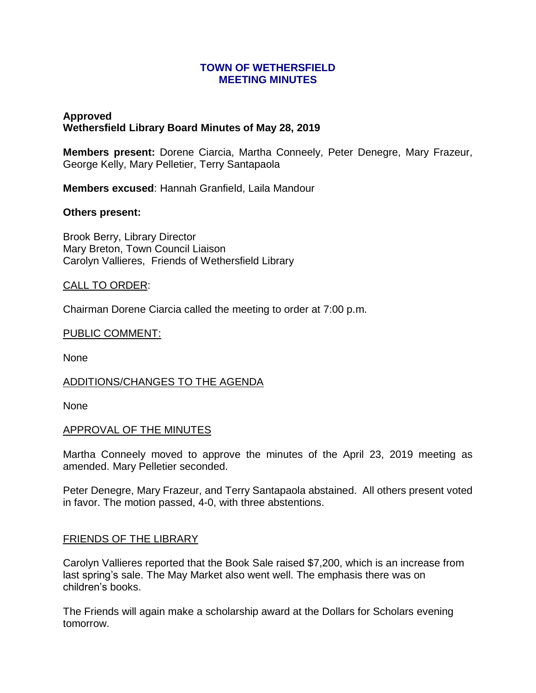### **TOWN OF WETHERSFIELD MEETING MINUTES**

# **Approved Wethersfield Library Board Minutes of May 28, 2019**

**Members present:** Dorene Ciarcia, Martha Conneely, Peter Denegre, Mary Frazeur, George Kelly, Mary Pelletier, Terry Santapaola

**Members excused**: Hannah Granfield, Laila Mandour

### **Others present:**

Brook Berry, Library Director Mary Breton, Town Council Liaison Carolyn Vallieres, Friends of Wethersfield Library

### CALL TO ORDER:

Chairman Dorene Ciarcia called the meeting to order at 7:00 p.m.

#### PUBLIC COMMENT:

None

#### ADDITIONS/CHANGES TO THE AGENDA

None

#### APPROVAL OF THE MINUTES

Martha Conneely moved to approve the minutes of the April 23, 2019 meeting as amended. Mary Pelletier seconded.

Peter Denegre, Mary Frazeur, and Terry Santapaola abstained. All others present voted in favor. The motion passed, 4-0, with three abstentions.

#### FRIENDS OF THE LIBRARY

Carolyn Vallieres reported that the Book Sale raised \$7,200, which is an increase from last spring's sale. The May Market also went well. The emphasis there was on children's books.

The Friends will again make a scholarship award at the Dollars for Scholars evening tomorrow.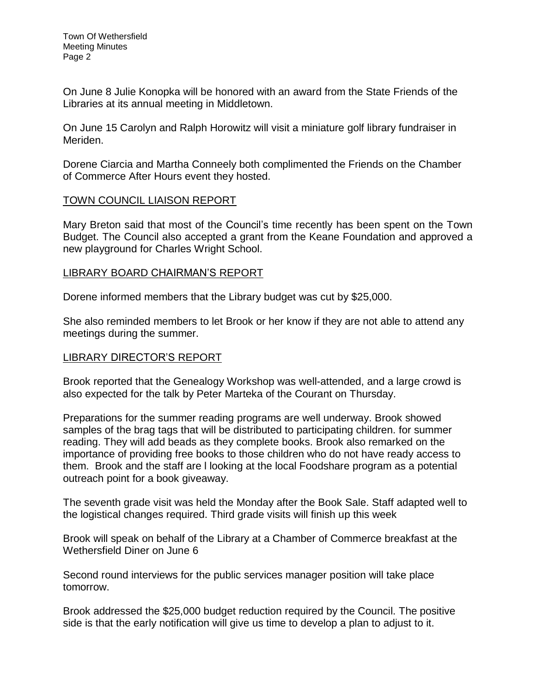On June 8 Julie Konopka will be honored with an award from the State Friends of the Libraries at its annual meeting in Middletown.

On June 15 Carolyn and Ralph Horowitz will visit a miniature golf library fundraiser in Meriden.

Dorene Ciarcia and Martha Conneely both complimented the Friends on the Chamber of Commerce After Hours event they hosted.

# TOWN COUNCIL LIAISON REPORT

Mary Breton said that most of the Council's time recently has been spent on the Town Budget. The Council also accepted a grant from the Keane Foundation and approved a new playground for Charles Wright School.

# LIBRARY BOARD CHAIRMAN'S REPORT

Dorene informed members that the Library budget was cut by \$25,000.

She also reminded members to let Brook or her know if they are not able to attend any meetings during the summer.

# LIBRARY DIRECTOR'S REPORT

Brook reported that the Genealogy Workshop was well-attended, and a large crowd is also expected for the talk by Peter Marteka of the Courant on Thursday.

Preparations for the summer reading programs are well underway. Brook showed samples of the brag tags that will be distributed to participating children. for summer reading. They will add beads as they complete books. Brook also remarked on the importance of providing free books to those children who do not have ready access to them. Brook and the staff are l looking at the local Foodshare program as a potential outreach point for a book giveaway.

The seventh grade visit was held the Monday after the Book Sale. Staff adapted well to the logistical changes required. Third grade visits will finish up this week

Brook will speak on behalf of the Library at a Chamber of Commerce breakfast at the Wethersfield Diner on June 6

Second round interviews for the public services manager position will take place tomorrow.

Brook addressed the \$25,000 budget reduction required by the Council. The positive side is that the early notification will give us time to develop a plan to adjust to it.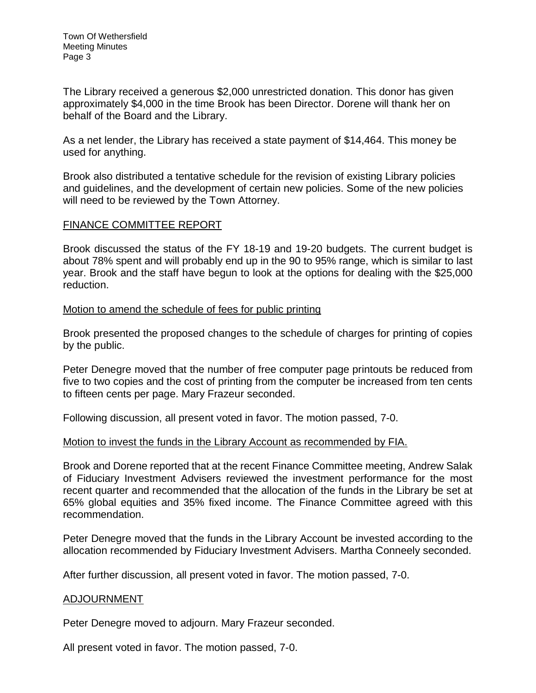The Library received a generous \$2,000 unrestricted donation. This donor has given approximately \$4,000 in the time Brook has been Director. Dorene will thank her on behalf of the Board and the Library.

As a net lender, the Library has received a state payment of \$14,464. This money be used for anything.

Brook also distributed a tentative schedule for the revision of existing Library policies and guidelines, and the development of certain new policies. Some of the new policies will need to be reviewed by the Town Attorney.

## FINANCE COMMITTEE REPORT

Brook discussed the status of the FY 18-19 and 19-20 budgets. The current budget is about 78% spent and will probably end up in the 90 to 95% range, which is similar to last year. Brook and the staff have begun to look at the options for dealing with the \$25,000 reduction.

### Motion to amend the schedule of fees for public printing

Brook presented the proposed changes to the schedule of charges for printing of copies by the public.

Peter Denegre moved that the number of free computer page printouts be reduced from five to two copies and the cost of printing from the computer be increased from ten cents to fifteen cents per page. Mary Frazeur seconded.

Following discussion, all present voted in favor. The motion passed, 7-0.

## Motion to invest the funds in the Library Account as recommended by FIA.

Brook and Dorene reported that at the recent Finance Committee meeting, Andrew Salak of Fiduciary Investment Advisers reviewed the investment performance for the most recent quarter and recommended that the allocation of the funds in the Library be set at 65% global equities and 35% fixed income. The Finance Committee agreed with this recommendation.

Peter Denegre moved that the funds in the Library Account be invested according to the allocation recommended by Fiduciary Investment Advisers. Martha Conneely seconded.

After further discussion, all present voted in favor. The motion passed, 7-0.

## ADJOURNMENT

Peter Denegre moved to adjourn. Mary Frazeur seconded.

All present voted in favor. The motion passed, 7-0.